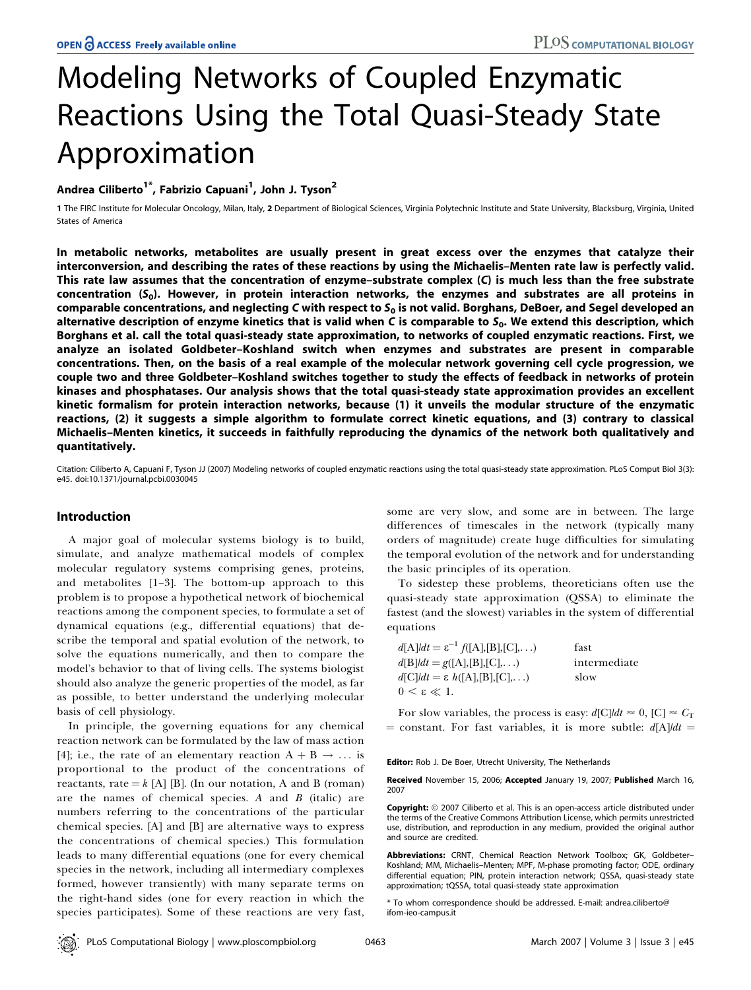# Modeling Networks of Coupled Enzymatic Reactions Using the Total Quasi-Steady State Approximation

Andrea Ciliberto<sup>1\*</sup>, Fabrizio Capuani<sup>1</sup>, John J. Tyson<sup>2</sup>

1 The FIRC Institute for Molecular Oncology, Milan, Italy, 2 Department of Biological Sciences, Virginia Polytechnic Institute and State University, Blacksburg, Virginia, United States of America

In metabolic networks, metabolites are usually present in great excess over the enzymes that catalyze their interconversion, and describing the rates of these reactions by using the Michaelis–Menten rate law is perfectly valid. This rate law assumes that the concentration of enzyme–substrate complex (C) is much less than the free substrate concentration  $(S_0)$ . However, in protein interaction networks, the enzymes and substrates are all proteins in comparable concentrations, and neglecting C with respect to  $S_0$  is not valid. Borghans, DeBoer, and Segel developed an alternative description of enzyme kinetics that is valid when C is comparable to  $S_0$ . We extend this description, which Borghans et al. call the total quasi-steady state approximation, to networks of coupled enzymatic reactions. First, we analyze an isolated Goldbeter–Koshland switch when enzymes and substrates are present in comparable concentrations. Then, on the basis of a real example of the molecular network governing cell cycle progression, we couple two and three Goldbeter–Koshland switches together to study the effects of feedback in networks of protein kinases and phosphatases. Our analysis shows that the total quasi-steady state approximation provides an excellent kinetic formalism for protein interaction networks, because (1) it unveils the modular structure of the enzymatic reactions, (2) it suggests a simple algorithm to formulate correct kinetic equations, and (3) contrary to classical Michaelis–Menten kinetics, it succeeds in faithfully reproducing the dynamics of the network both qualitatively and quantitatively.

Citation: Ciliberto A, Capuani F, Tyson JJ (2007) Modeling networks of coupled enzymatic reactions using the total quasi-steady state approximation. PLoS Comput Biol 3(3): e45. doi:10.1371/journal.pcbi.0030045

## Introduction

A major goal of molecular systems biology is to build, simulate, and analyze mathematical models of complex molecular regulatory systems comprising genes, proteins, and metabolites [1–3]. The bottom-up approach to this problem is to propose a hypothetical network of biochemical reactions among the component species, to formulate a set of dynamical equations (e.g., differential equations) that describe the temporal and spatial evolution of the network, to solve the equations numerically, and then to compare the model's behavior to that of living cells. The systems biologist should also analyze the generic properties of the model, as far as possible, to better understand the underlying molecular basis of cell physiology.

In principle, the governing equations for any chemical reaction network can be formulated by the law of mass action [4]; i.e., the rate of an elementary reaction  $A + B \rightarrow \dots$  is proportional to the product of the concentrations of reactants, rate  $=k$  [A] [B]. (In our notation, A and B (roman) are the names of chemical species. A and  $B$  (italic) are numbers referring to the concentrations of the particular chemical species. [A] and [B] are alternative ways to express the concentrations of chemical species.) This formulation leads to many differential equations (one for every chemical species in the network, including all intermediary complexes formed, however transiently) with many separate terms on the right-hand sides (one for every reaction in which the species participates). Some of these reactions are very fast, some are very slow, and some are in between. The large differences of timescales in the network (typically many orders of magnitude) create huge difficulties for simulating the temporal evolution of the network and for understanding the basic principles of its operation.

To sidestep these problems, theoreticians often use the quasi-steady state approximation (QSSA) to eliminate the fastest (and the slowest) variables in the system of differential equations

| $d[A]/dt = \varepsilon^{-1} f([A],[B],[C],\ldots)$ | fast         |
|----------------------------------------------------|--------------|
| $d[B]/dt = g([A],[B],[C],)$                        | intermediate |
| $d[C]/dt = \varepsilon h([A],[B],[C],\ldots)$      | slow         |
| $0 \leq \varepsilon \ll 1$ .                       |              |

For slow variables, the process is easy:  $d[C]/dt \approx 0$ ,  $[C] \approx C_T$ = constant. For fast variables, it is more subtle:  $d[A]/dt =$ 

Editor: Rob J. De Boer, Utrecht University, The Netherlands

Received November 15, 2006; Accepted January 19, 2007; Published March 16, 2007

**Copyright:** © 2007 Ciliberto et al. This is an open-access article distributed under the terms of the Creative Commons Attribution License, which permits unrestricted use, distribution, and reproduction in any medium, provided the original author and source are credited.

Abbreviations: CRNT, Chemical Reaction Network Toolbox; GK, Goldbeter– Koshland; MM, Michaelis–Menten; MPF, M-phase promoting factor; ODE, ordinary differential equation; PIN, protein interaction network; QSSA, quasi-steady state approximation; tQSSA, total quasi-steady state approximation

\* To whom correspondence should be addressed. E-mail: andrea.ciliberto@ ifom-ieo-campus.it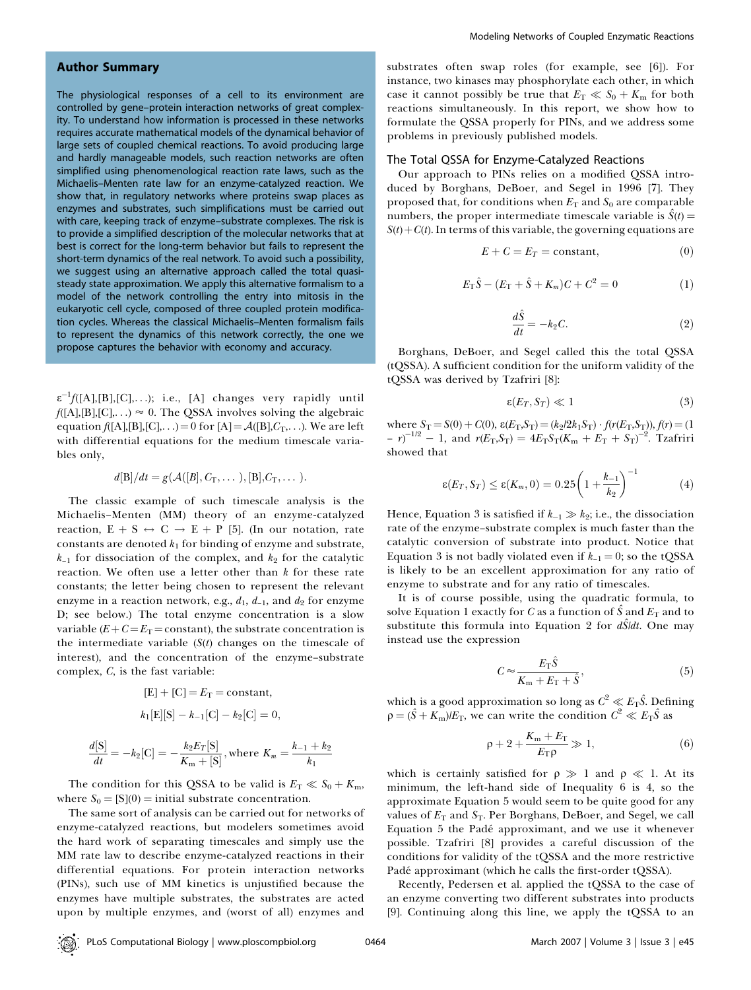## Author Summary

The physiological responses of a cell to its environment are controlled by gene–protein interaction networks of great complexity. To understand how information is processed in these networks requires accurate mathematical models of the dynamical behavior of large sets of coupled chemical reactions. To avoid producing large and hardly manageable models, such reaction networks are often simplified using phenomenological reaction rate laws, such as the Michaelis–Menten rate law for an enzyme-catalyzed reaction. We show that, in regulatory networks where proteins swap places as enzymes and substrates, such simplifications must be carried out with care, keeping track of enzyme–substrate complexes. The risk is to provide a simplified description of the molecular networks that at best is correct for the long-term behavior but fails to represent the short-term dynamics of the real network. To avoid such a possibility, we suggest using an alternative approach called the total quasisteady state approximation. We apply this alternative formalism to a model of the network controlling the entry into mitosis in the eukaryotic cell cycle, composed of three coupled protein modification cycles. Whereas the classical Michaelis–Menten formalism fails to represent the dynamics of this network correctly, the one we propose captures the behavior with economy and accuracy.

 $\varepsilon^{-1} f([{\rm A}],[{\rm B}],[{\rm C}],\ldots);$  i.e., [A] changes very rapidly until  $f([A],[B],[C],...) \approx 0$ . The QSSA involves solving the algebraic equation  $f([A],[B],[C],\ldots)=0$  for  $[A]=\mathcal{A}([B],C_T,\ldots)$ . We are left with differential equations for the medium timescale variables only,

$$
d[\mathbf{B}]/dt = g(\mathcal{A}([\mathbf{B}], C_{\mathrm{T}}, \dots), [\mathbf{B}], C_{\mathrm{T}}, \dots).
$$

The classic example of such timescale analysis is the Michaelis–Menten (MM) theory of an enzyme-catalyzed reaction,  $E + S \leftrightarrow C \rightarrow E + P$  [5]. (In our notation, rate constants are denoted  $k_1$  for binding of enzyme and substrate,  $k_{-1}$  for dissociation of the complex, and  $k_2$  for the catalytic reaction. We often use a letter other than  $k$  for these rate constants; the letter being chosen to represent the relevant enzyme in a reaction network, e.g.,  $d_1$ ,  $d_{-1}$ , and  $d_2$  for enzyme D; see below.) The total enzyme concentration is a slow variable ( $E+C=E_T=\text{constant}$ ), the substrate concentration is the intermediate variable  $(S(t))$  changes on the timescale of interest), and the concentration of the enzyme–substrate complex, C, is the fast variable:

$$
[E] + [C] = E_T = \text{constant},
$$
  

$$
k_1[E][S] - k_{-1}[C] - k_2[C] = 0,
$$

$$
\frac{d[S]}{dt} = -k_2[C] = -\frac{k_2 E_T[S]}{K_m + [S]}, \text{where } K_m = \frac{k_{-1} + k_2}{k_1}
$$

The condition for this QSSA to be valid is  $E_T \ll S_0 + K_m$ , where  $S_0 = [S](0) =$  initial substrate concentration.

The same sort of analysis can be carried out for networks of enzyme-catalyzed reactions, but modelers sometimes avoid the hard work of separating timescales and simply use the MM rate law to describe enzyme-catalyzed reactions in their differential equations. For protein interaction networks (PINs), such use of MM kinetics is unjustified because the enzymes have multiple substrates, the substrates are acted upon by multiple enzymes, and (worst of all) enzymes and

substrates often swap roles (for example, see [6]). For instance, two kinases may phosphorylate each other, in which case it cannot possibly be true that  $E_T \ll S_0 + K_m$  for both reactions simultaneously. In this report, we show how to formulate the QSSA properly for PINs, and we address some problems in previously published models.

#### The Total QSSA for Enzyme-Catalyzed Reactions

Our approach to PINs relies on a modified QSSA introduced by Borghans, DeBoer, and Segel in 1996 [7]. They proposed that, for conditions when  $E_T$  and  $S_0$  are comparable numbers, the proper intermediate timescale variable is  $\hat{S}(t)$  =  $S(t) + C(t)$ . In terms of this variable, the governing equations are

$$
E + C = E_T = \text{constant},\tag{0}
$$

$$
E_{\rm T}\hat{S} - (E_{\rm T} + \hat{S} + K_m)C + C^2 = 0 \tag{1}
$$

$$
\frac{d\hat{S}}{dt} = -k_2 C.
$$
 (2)

Borghans, DeBoer, and Segel called this the total QSSA (tQSSA). A sufficient condition for the uniform validity of the tQSSA was derived by Tzafriri [8]:

$$
\varepsilon(E_T, S_T) \ll 1 \tag{3}
$$

where  $S_T = S(0) + C(0)$ ,  $\varepsilon(E_T, S_T) = (k_2/2k_1S_T) \cdot f(r(E_T, S_T))$ ,  $f(r) = (1$  $- r^{-1/2} - 1$ , and  $r(E_T, S_T) = 4E_T S_T (K_m + E_T + S_T)^{-2}$ . Tzafriri showed that

$$
\varepsilon(E_T, S_T) \le \varepsilon(K_m, 0) = 0.25 \left(1 + \frac{k_{-1}}{k_2}\right)^{-1} \tag{4}
$$

Hence, Equation 3 is satisfied if  $k_{-1} \gg k_2$ ; i.e., the dissociation rate of the enzyme–substrate complex is much faster than the catalytic conversion of substrate into product. Notice that Equation 3 is not badly violated even if  $k_{-1} = 0$ ; so the tQSSA is likely to be an excellent approximation for any ratio of enzyme to substrate and for any ratio of timescales.

It is of course possible, using the quadratic formula, to solve Equation 1 exactly for C as a function of  $\hat{S}$  and  $E_T$  and to substitute this formula into Equation 2 for  $d\hat{S}/dt$ . One may instead use the expression

$$
C \approx \frac{E_{\rm T}\hat{S}}{K_{\rm m} + E_{\rm T} + \hat{S}},\tag{5}
$$

which is a good approximation so long as  $C^2 \ll E_T \hat{S}$ . Defining  $\rho = (\hat{S} + K_{\rm m})/E_{\rm T}$ , we can write the condition  $C^2 \ll E_{\rm T} \hat{S}$  as

$$
\rho + 2 + \frac{K_{\rm m} + E_{\rm T}}{E_{\rm T} \rho} \gg 1, \tag{6}
$$

which is certainly satisfied for  $\rho \gg 1$  and  $\rho \ll 1$ . At its minimum, the left-hand side of Inequality 6 is 4, so the approximate Equation 5 would seem to be quite good for any values of  $E_T$  and  $S_T$ . Per Borghans, DeBoer, and Segel, we call Equation 5 the Padé approximant, and we use it whenever possible. Tzafriri [8] provides a careful discussion of the conditions for validity of the tQSSA and the more restrictive Padé approximant (which he calls the first-order tQSSA).

Recently, Pedersen et al. applied the tQSSA to the case of an enzyme converting two different substrates into products [9]. Continuing along this line, we apply the tQSSA to an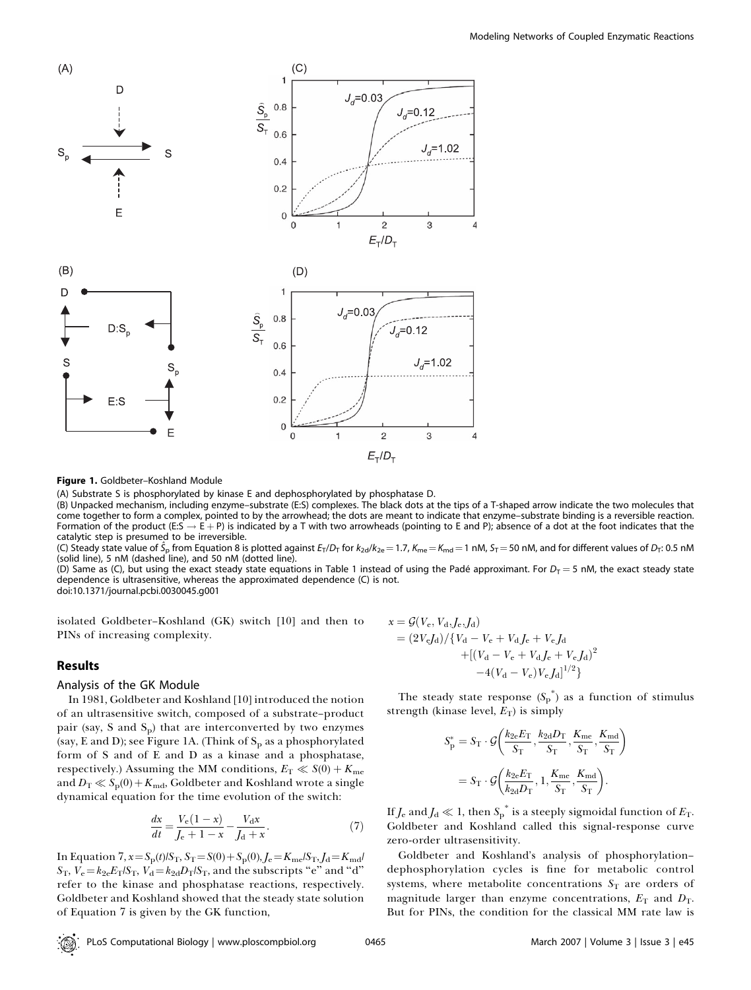

Figure 1. Goldbeter-Koshland Module

(A) Substrate S is phosphorylated by kinase E and dephosphorylated by phosphatase D.

(B) Unpacked mechanism, including enzyme–substrate (E:S) complexes. The black dots at the tips of a T-shaped arrow indicate the two molecules that come together to form a complex, pointed to by the arrowhead; the dots are meant to indicate that enzyme–substrate binding is a reversible reaction. Formation of the product (E:S  $\rightarrow$  E + P) is indicated by a T with two arrowheads (pointing to E and P); absence of a dot at the foot indicates that the catalytic step is presumed to be irreversible.

(C) Steady state value of  $\hat{S}_{\rm p}$  from Equation 8 is plotted against  $E_{\rm T}/D_{\rm T}$  for  $k_{\rm 2d}/k_{\rm 2e}$   $= 1.7$ ,  $K_{\rm me}$   $=$   $K_{\rm md}$   $=$  1 nM,  $S_{\rm T}$   $=$  50 nM, and for different values of  $D_{\rm T}$ : 0.5 nM (solid line), 5 nM (dashed line), and 50 nM (dotted line).

(D) Same as (C), but using the exact steady state equations in Table 1 instead of using the Padé approximant. For  $D_T = 5$  nM, the exact steady state dependence is ultrasensitive, whereas the approximated dependence (C) is not.

doi:10.1371/journal.pcbi.0030045.g001

isolated Goldbeter–Koshland (GK) switch [10] and then to PINs of increasing complexity.

## Results

## Analysis of the GK Module

In 1981, Goldbeter and Koshland [10] introduced the notion of an ultrasensitive switch, composed of a substrate–product pair (say,  $S$  and  $S_p$ ) that are interconverted by two enzymes (say, E and D); see Figure 1A. (Think of  $S_p$  as a phosphorylated form of S and of E and D as a kinase and a phosphatase, respectively.) Assuming the MM conditions,  $E_T \ll S(0) + K_{\text{me}}$ and  $D_T \ll S_p(0) + K_{\text{md}}$ , Goldbeter and Koshland wrote a single dynamical equation for the time evolution of the switch:

$$
\frac{dx}{dt} = \frac{V_e(1-x)}{J_e + 1 - x} - \frac{V_d x}{J_d + x}.
$$
 (7)

In Equation 7,  $x = S_p(t)/S_T$ ,  $S_T = S(0) + S_p(0)$ ,  $J_e = K_{me}/S_T$ ,  $J_d = K_{md}/S_T$  $S_T$ ,  $V_e = k_{2e}E_T/S_T$ ,  $V_d = k_{2d}D_T/S_T$ , and the subscripts "e" and "d" refer to the kinase and phosphatase reactions, respectively. Goldbeter and Koshland showed that the steady state solution of Equation 7 is given by the GK function,

$$
x = \mathcal{G}(V_{e}, V_{d}, J_{e}, J_{d})
$$
  
=  $(2V_{e}J_{d})/{V_{d} - V_{e} + V_{d}J_{e} + V_{e}J_{d} + [(V_{d} - V_{e} + V_{d}J_{e} + V_{e}J_{d})^{2} -4(V_{d} - V_{e})V_{e}J_{d}]^{1/2}}$ 

The steady state response  $(S_p^*)$  as a function of stimulus strength (kinase level,  $E_T$ ) is simply

$$
S_{\rm p}^* = S_{\rm T} \cdot \mathcal{G}\left(\frac{k_{2e}E_{\rm T}}{S_{\rm T}}, \frac{k_{2d}D_{\rm T}}{S_{\rm T}}, \frac{K_{\rm me}}{S_{\rm T}}, \frac{K_{\rm md}}{S_{\rm T}}\right)
$$

$$
= S_{\rm T} \cdot \mathcal{G}\left(\frac{k_{2e}E_{\rm T}}{k_{2d}D_{\rm T}}, 1, \frac{K_{\rm me}}{S_{\rm T}}, \frac{K_{\rm md}}{S_{\rm T}}\right).
$$

If  $J_\mathrm{e}$  and  $J_\mathrm{d}\ll 1$ , then  $\mathit{S^{*}_{p}}$  is a steeply sigmoidal function of  $E_\mathrm{T}$ . Goldbeter and Koshland called this signal-response curve zero-order ultrasensitivity.

Goldbeter and Koshland's analysis of phosphorylation– dephosphorylation cycles is fine for metabolic control systems, where metabolite concentrations  $S_T$  are orders of magnitude larger than enzyme concentrations,  $E_T$  and  $D_T$ . But for PINs, the condition for the classical MM rate law is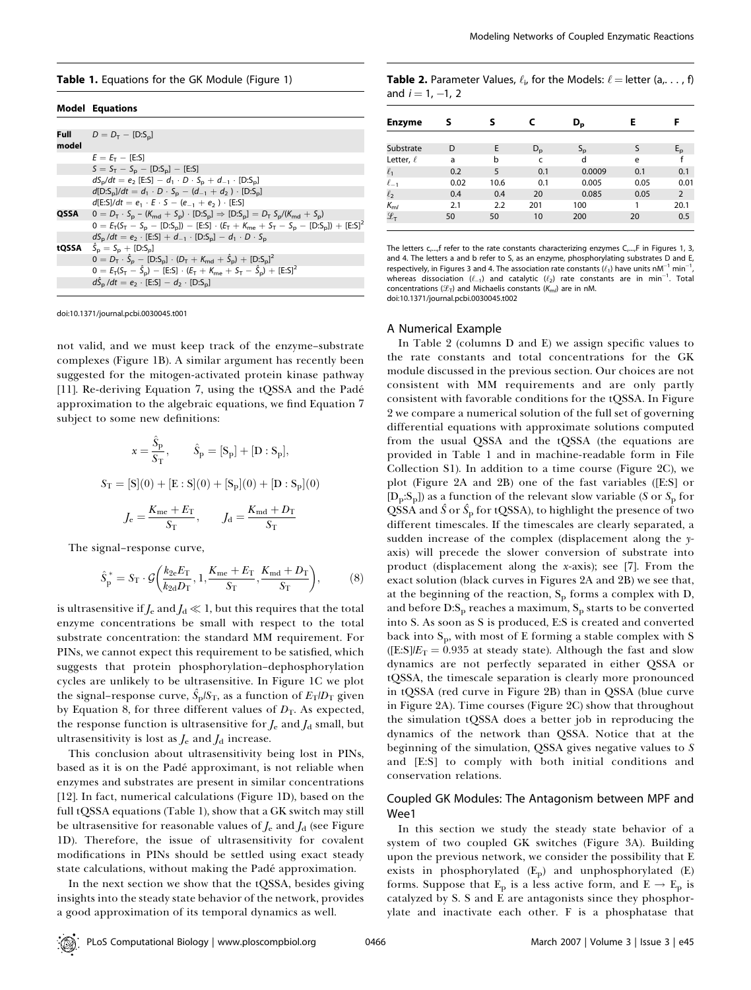#### Table 1. Equations for the GK Module (Figure 1)

#### Model Equations

| model | <b>Full</b> $D = D_T - [D: S_n]$                                                                                |
|-------|-----------------------------------------------------------------------------------------------------------------|
|       | $E = E_T - [E:S]$                                                                                               |
|       | $S = S_T - S_D - [D:S_D] - [E:S]$                                                                               |
|       | $dS_p/dt = e_2$ [E:S] – $d_1 \cdot D \cdot S_p + d_{-1} \cdot [D:S_p]$                                          |
|       | $d[D:S_{n}]/dt = d_1 \cdot D \cdot S_n - (d_{-1} + d_2) \cdot [D:S_{n}]$                                        |
|       | $d[E:S]/dt = e_1 \cdot E \cdot S - (e_{-1} + e_2) \cdot [E:S]$                                                  |
| QSSA  | $0 = D_T \cdot S_p - (K_{\text{md}} + S_p) \cdot [D:S_p] \Rightarrow [D:S_p] = D_T S_p / (K_{\text{md}} + S_p)$ |
|       | $0 = E_T(S_T - S_p - [D:S_p]) - [E:S] \cdot (E_T + K_{me} + S_T - S_p - [D:S_p]) + [E:S]^2$                     |
|       | $dS_p/dt = e_2 \cdot [E:S] + d_{-1} \cdot [D:S_p] - d_1 \cdot D \cdot S_p$                                      |
| tQSSA | $S_n = S_n + [D: S_n]$                                                                                          |
|       | $0 = D_T \cdot \hat{S}_p - [D:S_p] \cdot (D_T + K_{\text{md}} + \hat{S}_p) + [D:S_p]^2$                         |
|       | $0 = E_T (S_T - \hat{S}_D) - [E:S] \cdot (E_T + K_{me} + S_T - \hat{S}_D) + [E:S]^2$                            |
|       | $d\hat{S}_{p}/dt = e_{2} \cdot [E:S] - d_{2} \cdot [D:S_{p}]$                                                   |
|       |                                                                                                                 |

doi:10.1371/journal.pcbi.0030045.t001

not valid, and we must keep track of the enzyme–substrate complexes (Figure 1B). A similar argument has recently been suggested for the mitogen-activated protein kinase pathway [11]. Re-deriving Equation 7, using the tQSSA and the Padé approximation to the algebraic equations, we find Equation 7 subject to some new definitions:

$$
x = \frac{\hat{S}_{p}}{S_{T}}, \qquad \hat{S}_{p} = [S_{p}] + [D : S_{p}],
$$
  

$$
S_{T} = [S](0) + [E : S](0) + [S_{p}](0) + [D : S_{p}](0)
$$
  

$$
J_{e} = \frac{K_{me} + E_{T}}{S_{T}}, \qquad J_{d} = \frac{K_{md} + D_{T}}{S_{T}}
$$

The signal–response curve,

$$
\hat{S}_{\rm p}^* = S_{\rm T} \cdot \mathcal{G}\left(\frac{k_{2\rm e}E_{\rm T}}{k_{2\rm d}D_{\rm T}}, 1, \frac{K_{\rm me} + E_{\rm T}}{S_{\rm T}}, \frac{K_{\rm md} + D_{\rm T}}{S_{\rm T}}\right),\tag{8}
$$

is ultrasensitive if  $J_e$  and  $J_d \ll 1$ , but this requires that the total enzyme concentrations be small with respect to the total substrate concentration: the standard MM requirement. For PINs, we cannot expect this requirement to be satisfied, which suggests that protein phosphorylation–dephosphorylation cycles are unlikely to be ultrasensitive. In Figure 1C we plot the signal–response curve,  $\hat{S}_{\rm p}/S_{\rm T}$ , as a function of  $E_{\rm T}/D_{\rm T}$  given by Equation 8, for three different values of  $D<sub>T</sub>$ . As expected, the response function is ultrasensitive for  $J_e$  and  $J_d$  small, but ultrasensitivity is lost as  $J_e$  and  $J_d$  increase.

This conclusion about ultrasensitivity being lost in PINs, based as it is on the Padé approximant, is not reliable when enzymes and substrates are present in similar concentrations [12]. In fact, numerical calculations (Figure 1D), based on the full tQSSA equations (Table 1), show that a GK switch may still be ultrasensitive for reasonable values of  $J_e$  and  $J_d$  (see Figure 1D). Therefore, the issue of ultrasensitivity for covalent modifications in PINs should be settled using exact steady state calculations, without making the Padé approximation.

In the next section we show that the tQSSA, besides giving insights into the steady state behavior of the network, provides a good approximation of its temporal dynamics as well.

| <b>Table 2.</b> Parameter Values, $\ell_i$ , for the Models: $\ell =$ letter (a, , f) |
|---------------------------------------------------------------------------------------|
| and $i = 1, -1, 2$                                                                    |

| <b>Enzyme</b>              | s    | s    |             | D <sub>p</sub> | Ε    | F              |
|----------------------------|------|------|-------------|----------------|------|----------------|
|                            |      |      |             |                |      |                |
| Substrate                  | D    | E    | $D_{\rm p}$ | $S_{\rm p}$    | S    | $E_{\rm p}$    |
| Letter, $\ell$             | a    | b    | C           | d              | e    |                |
| $\ell_1$                   | 0.2  | 5    | 0.1         | 0.0009         | 0.1  | 0.1            |
| $\ell_{-1}$                | 0.02 | 10.6 | 0.1         | 0.005          | 0.05 | 0.01           |
| $\ell_{2}$                 | 0.4  | 0.4  | 20          | 0.085          | 0.05 | $\overline{2}$ |
| $K_{m}$                    | 2.1  | 2.2  | 201         | 100            | 1    | 20.1           |
| $\mathcal{L}_{\mathsf{T}}$ | 50   | 50   | 10          | 200            | 20   | 0.5            |

The letters  $c_{n}$ , frefer to the rate constants characterizing enzymes  $C_{n}$ , F in Figures 1, 3, and 4. The letters a and b refer to S, as an enzyme, phosphorylating substrates D and E, respectively, in Figures 3 and 4. The association rate constants  $(\ell_1)$  have units nM $^{-1}$  min $^{-1}$ , whereas dissociation  $(\ell_{-1})$  and catalytic  $(\ell_2)$  rate constants are in min<sup>-1</sup>. Total concentrations  $(\mathscr{L}_{\mathsf{T}})$  and Michaelis constants  $(\mathsf{K}_{\mathsf{m}\mathsf{N}})$  are in nM. doi:10.1371/journal.pcbi.0030045.t002

#### A Numerical Example

In Table 2 (columns D and E) we assign specific values to the rate constants and total concentrations for the GK module discussed in the previous section. Our choices are not consistent with MM requirements and are only partly consistent with favorable conditions for the tQSSA. In Figure 2 we compare a numerical solution of the full set of governing differential equations with approximate solutions computed from the usual QSSA and the tQSSA (the equations are provided in Table 1 and in machine-readable form in File Collection S1). In addition to a time course (Figure 2C), we plot (Figure 2A and 2B) one of the fast variables ([E:S] or  $[D_p: S_p]$  as a function of the relevant slow variable (S or  $S_p$  for QSSA and  $\hat S$  or  $\hat S_{\rm p}$  for tQSSA), to highlight the presence of two different timescales. If the timescales are clearly separated, a sudden increase of the complex (displacement along the yaxis) will precede the slower conversion of substrate into product (displacement along the x-axis); see [7]. From the exact solution (black curves in Figures 2A and 2B) we see that, at the beginning of the reaction,  $S_p$  forms a complex with D, and before  $D: S_p$  reaches a maximum,  $S_p$  starts to be converted into S. As soon as S is produced, E:S is created and converted back into S<sub>p</sub>, with most of E forming a stable complex with S ([E:S] $/E_T = 0.935$  at steady state). Although the fast and slow dynamics are not perfectly separated in either QSSA or tQSSA, the timescale separation is clearly more pronounced in tQSSA (red curve in Figure 2B) than in QSSA (blue curve in Figure 2A). Time courses (Figure 2C) show that throughout the simulation tQSSA does a better job in reproducing the dynamics of the network than QSSA. Notice that at the beginning of the simulation, QSSA gives negative values to S and [E:S] to comply with both initial conditions and conservation relations.

## Coupled GK Modules: The Antagonism between MPF and Wee1

In this section we study the steady state behavior of a system of two coupled GK switches (Figure 3A). Building upon the previous network, we consider the possibility that E exists in phosphorylated (Ep) and unphosphorylated (E) forms. Suppose that  $E_p$  is a less active form, and  $E \rightarrow E_p$  is catalyzed by S. S and E are antagonists since they phosphorylate and inactivate each other. F is a phosphatase that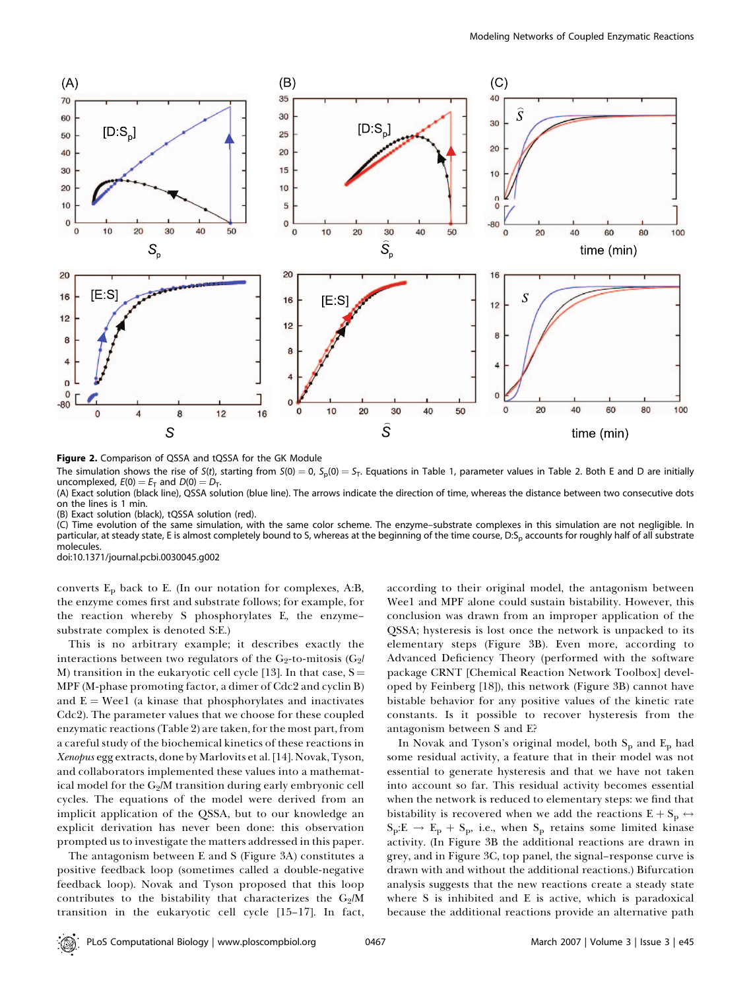

Figure 2. Comparison of QSSA and tQSSA for the GK Module

The simulation shows the rise of S(t), starting from  $S(0) = 0$ ,  $S_p(0) = S_T$ . Equations in Table 1, parameter values in Table 2. Both E and D are initially uncomplexed,  $E(0) = E_T$  and  $D(0) = D_T$ .

(A) Exact solution (black line), QSSA solution (blue line). The arrows indicate the direction of time, whereas the distance between two consecutive dots on the lines is 1 min.

(B) Exact solution (black), tQSSA solution (red).

(C) Time evolution of the same simulation, with the same color scheme. The enzyme–substrate complexes in this simulation are not negligible. In particular, at steady state, E is almost completely bound to S, whereas at the beginning of the time course, D:S<sub>p</sub> accounts for roughly half of all substrate molecules.

doi:10.1371/journal.pcbi.0030045.g002

converts  $E_p$  back to E. (In our notation for complexes, A:B, the enzyme comes first and substrate follows; for example, for the reaction whereby S phosphorylates E, the enzyme– substrate complex is denoted S:E.)

This is no arbitrary example; it describes exactly the interactions between two regulators of the G2-to-mitosis (G2 $/$ M) transition in the eukaryotic cell cycle [13]. In that case,  $S =$ MPF (M-phase promoting factor, a dimer of Cdc2 and cyclin B) and  $E = Weel$  (a kinase that phosphorylates and inactivates Cdc2). The parameter values that we choose for these coupled enzymatic reactions (Table 2) are taken, for the most part, from a careful study of the biochemical kinetics of these reactions in Xenopus egg extracts, done by Marlovits et al. [14]. Novak, Tyson, and collaborators implemented these values into a mathematical model for the  $G_2/M$  transition during early embryonic cell cycles. The equations of the model were derived from an implicit application of the QSSA, but to our knowledge an explicit derivation has never been done: this observation prompted us to investigate the matters addressed in this paper.

The antagonism between E and S (Figure 3A) constitutes a positive feedback loop (sometimes called a double-negative feedback loop). Novak and Tyson proposed that this loop contributes to the bistability that characterizes the  $G_2/M$ transition in the eukaryotic cell cycle [15–17]. In fact, according to their original model, the antagonism between Wee1 and MPF alone could sustain bistability. However, this conclusion was drawn from an improper application of the QSSA; hysteresis is lost once the network is unpacked to its elementary steps (Figure 3B). Even more, according to Advanced Deficiency Theory (performed with the software package CRNT [Chemical Reaction Network Toolbox] developed by Feinberg [18]), this network (Figure 3B) cannot have bistable behavior for any positive values of the kinetic rate constants. Is it possible to recover hysteresis from the antagonism between S and E?

In Novak and Tyson's original model, both  $S_p$  and  $E_p$  had some residual activity, a feature that in their model was not essential to generate hysteresis and that we have not taken into account so far. This residual activity becomes essential when the network is reduced to elementary steps: we find that bistability is recovered when we add the reactions  $E + S_p \leftrightarrow$  $S_p:E \rightarrow E_p + S_p$ , i.e., when  $S_p$  retains some limited kinase activity. (In Figure 3B the additional reactions are drawn in grey, and in Figure 3C, top panel, the signal–response curve is drawn with and without the additional reactions.) Bifurcation analysis suggests that the new reactions create a steady state where S is inhibited and E is active, which is paradoxical because the additional reactions provide an alternative path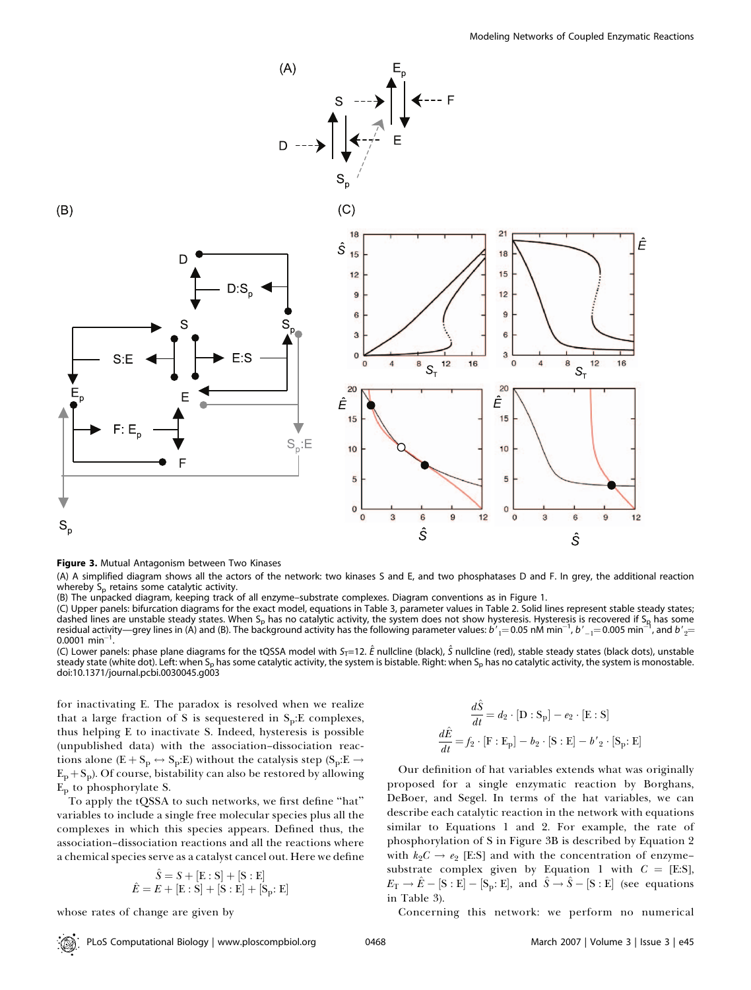

Figure 3. Mutual Antagonism between Two Kinases

(A) A simplified diagram shows all the actors of the network: two kinases S and E, and two phosphatases D and F. In grey, the additional reaction whereby  $S_p$  retains some catalytic activity.

(B) The unpacked diagram, keeping track of all enzyme–substrate complexes. Diagram conventions as in Figure 1.

(C) Upper panels: bifurcation diagrams for the exact model, equations in Table 3, parameter values in Table 2. Solid lines represent stable steady states; dashed lines are unstable steady states. When S<sub>p</sub> has no catalytic activity, the system does not show hysteresis. Hysteresis is recovered if S<sub>R</sub> has some residual activity—grey lines in (A) and (B). The background activity has the following parameter values: b  $j'{}_{1}=$  0.05 nM min $^{-1}$ , b  $^\prime{}_{-1}=$  0.005 min $^{-1}$ , and b  $^\prime{}_{2}=$ 0.0001 min<sup>-</sup>

0.0001 min<sup>–1</sup>.<br>(C) Lower panels: phase plane diagrams for the tQSSA model with S<sub>T</sub>=12. Ê nullcline (black), Ŝ nullcline (red), stable steady states (black dots), unstable steady state (white dot). Left: when S<sub>p</sub> has some catalytic activity, the system is bistable. Right: when S<sub>p</sub> has no catalytic activity, the system is monostable. doi:10.1371/journal.pcbi.0030045.g003

for inactivating E. The paradox is resolved when we realize that a large fraction of S is sequestered in  $S_p$ : E complexes, thus helping E to inactivate S. Indeed, hysteresis is possible (unpublished data) with the association–dissociation reactions alone (E + S<sub>p</sub>  $\leftrightarrow$  S<sub>p</sub>:E) without the catalysis step (S<sub>p</sub>:E  $\rightarrow$  $E_p + S_p$ ). Of course, bistability can also be restored by allowing  $E<sub>p</sub>$  to phosphorylate S.

To apply the tQSSA to such networks, we first define ''hat'' variables to include a single free molecular species plus all the complexes in which this species appears. Defined thus, the association–dissociation reactions and all the reactions where a chemical species serve as a catalyst cancel out. Here we define

$$
\hat{S} = S + [E : S] + [S : E]
$$
  

$$
\hat{E} = E + [E : S] + [S : E] + [S_P : E]
$$

whose rates of change are given by

$$
\frac{d\hat{S}}{dt} = d_2 \cdot [\mathbf{D} : \mathbf{S}_{\mathrm{p}}] - e_2 \cdot [\mathbf{E} : \mathbf{S}]
$$

$$
\frac{d\hat{E}}{dt} = f_2 \cdot [\mathbf{F} : \mathbf{E}_{\mathrm{p}}] - b_2 \cdot [\mathbf{S} : \mathbf{E}] - b'_2 \cdot [\mathbf{S}_{\mathrm{p}} : \mathbf{E}]
$$

Our definition of hat variables extends what was originally proposed for a single enzymatic reaction by Borghans, DeBoer, and Segel. In terms of the hat variables, we can describe each catalytic reaction in the network with equations similar to Equations 1 and 2. For example, the rate of phosphorylation of S in Figure 3B is described by Equation 2 with  $k_2C \rightarrow e_2$  [E:S] and with the concentration of enzymesubstrate complex given by Equation 1 with  $C = [E:S]$ ,  $E_{\rm T}\rightarrow \hat{E}-\left[{\rm S}:\text{E}\right]-\left[{\rm S}_{\rm p};\text{E}\right]$ , and  $\hat{\rm S}\rightarrow \hat{\rm S}-\left[{\rm S}:\text{E}\right]$  (see equations in Table 3).

Concerning this network: we perform no numerical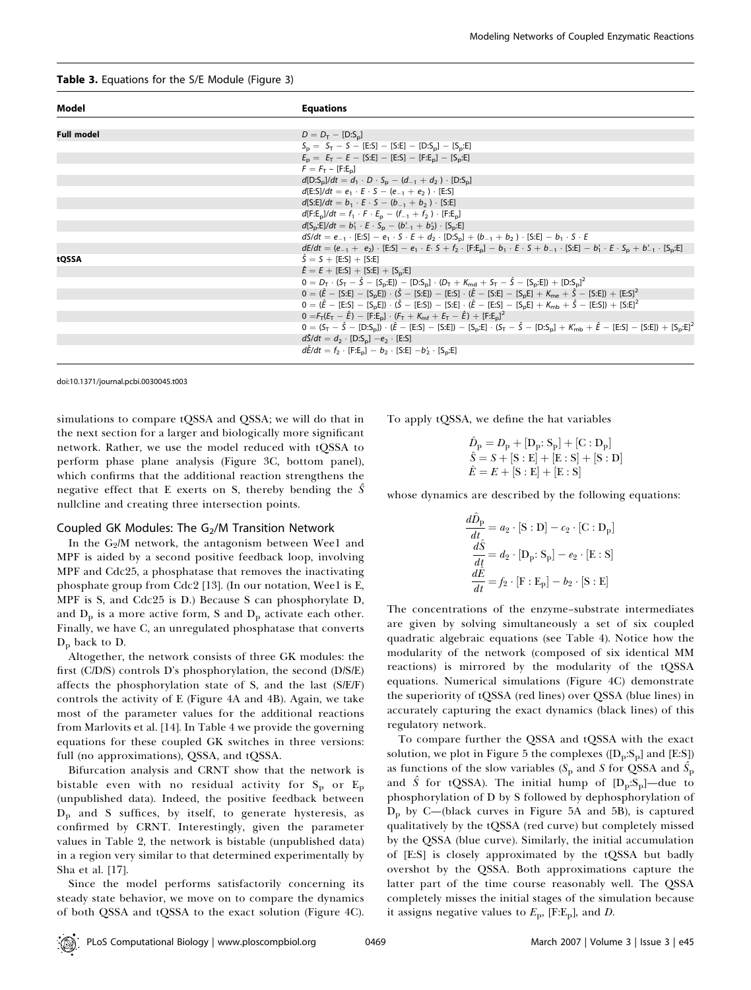#### Table 3. Equations for the S/E Module (Figure 3)

| Model             | <b>Equations</b>                                                                                                                                                           |
|-------------------|----------------------------------------------------------------------------------------------------------------------------------------------------------------------------|
|                   |                                                                                                                                                                            |
| <b>Full model</b> | $D = D_T - [D:S_n]$                                                                                                                                                        |
|                   | $S_p = S_T - S - [E:S] - [S:E] - [D:S_p] - [S_p:E]$                                                                                                                        |
|                   | $E_p = E_T - E -$ [S:E] - [E:S] - [F:E <sub>n</sub> ] - [S <sub>n</sub> :E]                                                                                                |
|                   | $F = F_T - [F:E_n]$                                                                                                                                                        |
|                   | $d[D:S_{D}]/dt = d_1 \cdot D \cdot S_{D} - (d_{-1} + d_2) \cdot [D:S_{D}]$                                                                                                 |
|                   | $d[E: S]/dt = e_1 \cdot E \cdot S - (e_{-1} + e_2) \cdot [E: S]$                                                                                                           |
|                   | $d[S:E]/dt = b_1 \cdot E \cdot S - (b_{-1} + b_2) \cdot [S:E]$                                                                                                             |
|                   | $d[F:E_n]/dt = f_1 \cdot F \cdot E_n - (f_{-1} + f_2) \cdot [F:E_n]$                                                                                                       |
|                   | $d[S_{p}:E]/dt = b'_1 \cdot E \cdot S_{p} - (b'_{-1} + b'_{2}) \cdot [S_{p}:E]$                                                                                            |
|                   | $dS/dt = e_{-1}$ [E:S] $- e_1 \cdot S \cdot E + d_2 \cdot [D:S_n] + (b_{-1} + b_2) \cdot [S:E] - b_1 \cdot S \cdot E$                                                      |
|                   | $dE/dt = (e_{-1} + e_2) \cdot [E:S] - e_1 \cdot E \cdot S + f_2 \cdot [F:E_n] - b_1 \cdot E \cdot S + b_{-1} \cdot [S:E] - b'_1 \cdot E \cdot S_n + b'_{-1} \cdot [S_n:E]$ |
| tQSSA             | $\hat{S} = S + [E:S] + [S:E]$                                                                                                                                              |
|                   | $\hat{E} = E + [E:S] + [S:E] + [S_n:E]$                                                                                                                                    |
|                   | $0 = D_T \cdot (S_T - \hat{S} - [S_p:E]) - [D:S_p] \cdot (D_T + K_{md} + S_T - \hat{S} - [S_p:E]) + [D:S_p]^2$                                                             |
|                   | $0 = (\hat{E} - [S:E] - [S_E]) \cdot (\hat{S} - [S:E]) - [E:S] \cdot (\hat{E} - [S:E] - [S_E] + K_{me} + \hat{S} - [S:E]) + [E:S]^2$                                       |
|                   | $0 = (\hat{E} - [E:S] - [S_0E]) \cdot (\hat{S} - [E:S]) - [S:E] \cdot (\hat{E} - [E:S] - [S_0E] + K_{mb} + \hat{S} - [E:S]) + [S:E]^2$                                     |
|                   | $0 = F_T(E_T - \hat{E}) - [F:E_n] \cdot (F_T + K_{mf} + E_T - \hat{E}) + [F:E_n]^2$                                                                                        |
|                   | $0 = (S_T - \hat{S} - [D: S_n]) \cdot (\hat{E} - [E:S] - [S:E]) - [S_p:E] \cdot (S_T - \hat{S} - [D:S_p] + K'_{mb} + \hat{E} - [E:S] - [S:E]) + [S_p:E]^2$                 |
|                   | $d\hat{S}/dt = d_2 \cdot [D:S_{\rm n}] - e_2 \cdot [E:S]$                                                                                                                  |
|                   | $d\hat{E}/dt = f_2 \cdot [F:E_p] - b_2 \cdot [S:E] - b'_2 \cdot [S_p:E]$                                                                                                   |
|                   |                                                                                                                                                                            |

doi:10.1371/journal.pcbi.0030045.t003

simulations to compare tQSSA and QSSA; we will do that in the next section for a larger and biologically more significant network. Rather, we use the model reduced with tQSSA to perform phase plane analysis (Figure 3C, bottom panel), which confirms that the additional reaction strengthens the negative effect that E exerts on S, thereby bending the  $\hat{S}$ nullcline and creating three intersection points.

## Coupled GK Modules: The  $G<sub>2</sub>/M$  Transition Network

In the  $G_2/M$  network, the antagonism between Wee1 and MPF is aided by a second positive feedback loop, involving MPF and Cdc25, a phosphatase that removes the inactivating phosphate group from Cdc2 [13]. (In our notation, Wee1 is E, MPF is S, and Cdc25 is D.) Because S can phosphorylate D, and  $D_p$  is a more active form, S and  $D_p$  activate each other. Finally, we have C, an unregulated phosphatase that converts  $D_p$  back to D.

Altogether, the network consists of three GK modules: the first (C/D/S) controls D's phosphorylation, the second (D/S/E) affects the phosphorylation state of S, and the last (S/E/F) controls the activity of E (Figure 4A and 4B). Again, we take most of the parameter values for the additional reactions from Marlovits et al. [14]. In Table 4 we provide the governing equations for these coupled GK switches in three versions: full (no approximations), QSSA, and tQSSA.

Bifurcation analysis and CRNT show that the network is bistable even with no residual activity for  $S_p$  or  $E_p$ (unpublished data). Indeed, the positive feedback between  $D<sub>p</sub>$  and S suffices, by itself, to generate hysteresis, as confirmed by CRNT. Interestingly, given the parameter values in Table 2, the network is bistable (unpublished data) in a region very similar to that determined experimentally by Sha et al. [17].

Since the model performs satisfactorily concerning its steady state behavior, we move on to compare the dynamics of both QSSA and tQSSA to the exact solution (Figure 4C). To apply tQSSA, we define the hat variables

$$
\hat{D}_{\text{p}} = D_{\text{p}} + [\mathbf{D}_{\text{p}}; \mathbf{S}_{\text{p}}] + [\mathbf{C} : \mathbf{D}_{\text{p}}] \n\hat{S} = S + [S : E] + [E : S] + [S : D] \n\hat{E} = E + [S : E] + [E : S]
$$

whose dynamics are described by the following equations:

$$
\frac{d\hat{D}_{p}}{dt} = a_{2} \cdot [S : D] - c_{2} \cdot [C : D_{p}]
$$

$$
\frac{d\hat{S}}{dt} = d_{2} \cdot [D_{p} : S_{p}] - e_{2} \cdot [E : S]
$$

$$
\frac{d\hat{E}}{dt} = f_{2} \cdot [F : E_{p}] - b_{2} \cdot [S : E]
$$

The concentrations of the enzyme–substrate intermediates are given by solving simultaneously a set of six coupled quadratic algebraic equations (see Table 4). Notice how the modularity of the network (composed of six identical MM reactions) is mirrored by the modularity of the tQSSA equations. Numerical simulations (Figure 4C) demonstrate the superiority of tQSSA (red lines) over QSSA (blue lines) in accurately capturing the exact dynamics (black lines) of this regulatory network.

To compare further the QSSA and tQSSA with the exact solution, we plot in Figure 5 the complexes  $([D_p: S_p]$  and  $[E: S]$ ) as functions of the slow variables (S<sub>p</sub> and S for QSSA and  $\hat{S_\text{p}}$ and  $\hat{S}$  for tQSSA). The initial hump of  $[D_p: S_p]$ —due to phosphorylation of D by S followed by dephosphorylation of  $D_p$  by C—(black curves in Figure 5A and 5B), is captured qualitatively by the tQSSA (red curve) but completely missed by the QSSA (blue curve). Similarly, the initial accumulation of [E:S] is closely approximated by the tQSSA but badly overshot by the QSSA. Both approximations capture the latter part of the time course reasonably well. The QSSA completely misses the initial stages of the simulation because it assigns negative values to  $E_p$ , [F:E<sub>p</sub>], and D.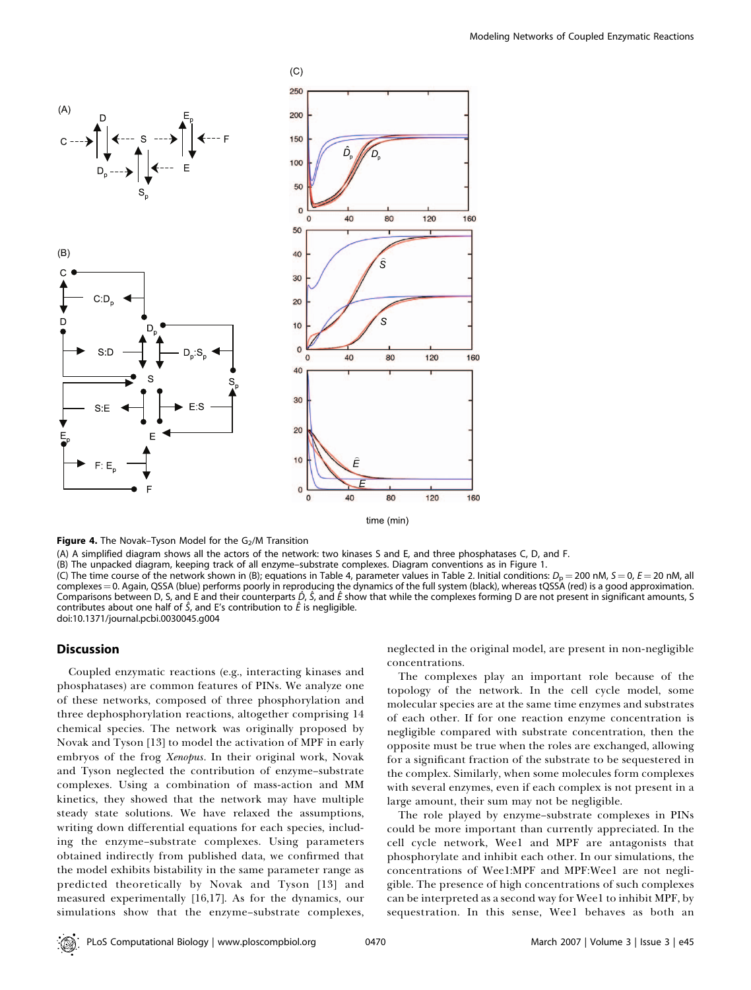

**Figure 4.** The Novak–Tyson Model for the  $G<sub>2</sub>/M$  Transition

(A) A simplified diagram shows all the actors of the network: two kinases S and E, and three phosphatases C, D, and F.

(B) The unpacked diagram, keeping track of all enzyme–substrate complexes. Diagram conventions as in Figure 1.

(C) The time course of the network shown in (B); equations in Table 4, parameter values in Table 2. Initial conditions:  $D<sub>D</sub> = 200$  nM,  $S = 0$ ,  $E = 20$  nM, all complexes = 0. Again, QSSA (blue) performs poorly in reproducing the dynamics of the full system (black), whereas tQSSA (red) is a good approximation. Comparisons between D, S, and E and their counterparts  $\hat{D}$ ,  $\hat{S}$ , and  $\hat{E}$  show that while the complexes forming D are not present in significant amounts, S contributes about one half of  $\hat{S}$ , and E's contribution to  $\hat{E}$  is negligible.

doi:10.1371/journal.pcbi.0030045.g004

## **Discussion**

Coupled enzymatic reactions (e.g., interacting kinases and phosphatases) are common features of PINs. We analyze one of these networks, composed of three phosphorylation and three dephosphorylation reactions, altogether comprising 14 chemical species. The network was originally proposed by Novak and Tyson [13] to model the activation of MPF in early embryos of the frog Xenopus. In their original work, Novak and Tyson neglected the contribution of enzyme–substrate complexes. Using a combination of mass-action and MM kinetics, they showed that the network may have multiple steady state solutions. We have relaxed the assumptions, writing down differential equations for each species, including the enzyme–substrate complexes. Using parameters obtained indirectly from published data, we confirmed that the model exhibits bistability in the same parameter range as predicted theoretically by Novak and Tyson [13] and measured experimentally [16,17]. As for the dynamics, our simulations show that the enzyme–substrate complexes,

neglected in the original model, are present in non-negligible concentrations.

The complexes play an important role because of the topology of the network. In the cell cycle model, some molecular species are at the same time enzymes and substrates of each other. If for one reaction enzyme concentration is negligible compared with substrate concentration, then the opposite must be true when the roles are exchanged, allowing for a significant fraction of the substrate to be sequestered in the complex. Similarly, when some molecules form complexes with several enzymes, even if each complex is not present in a large amount, their sum may not be negligible.

The role played by enzyme–substrate complexes in PINs could be more important than currently appreciated. In the cell cycle network, Wee1 and MPF are antagonists that phosphorylate and inhibit each other. In our simulations, the concentrations of Wee1:MPF and MPF:Wee1 are not negligible. The presence of high concentrations of such complexes can be interpreted as a second way for Wee1 to inhibit MPF, by sequestration. In this sense, Wee1 behaves as both an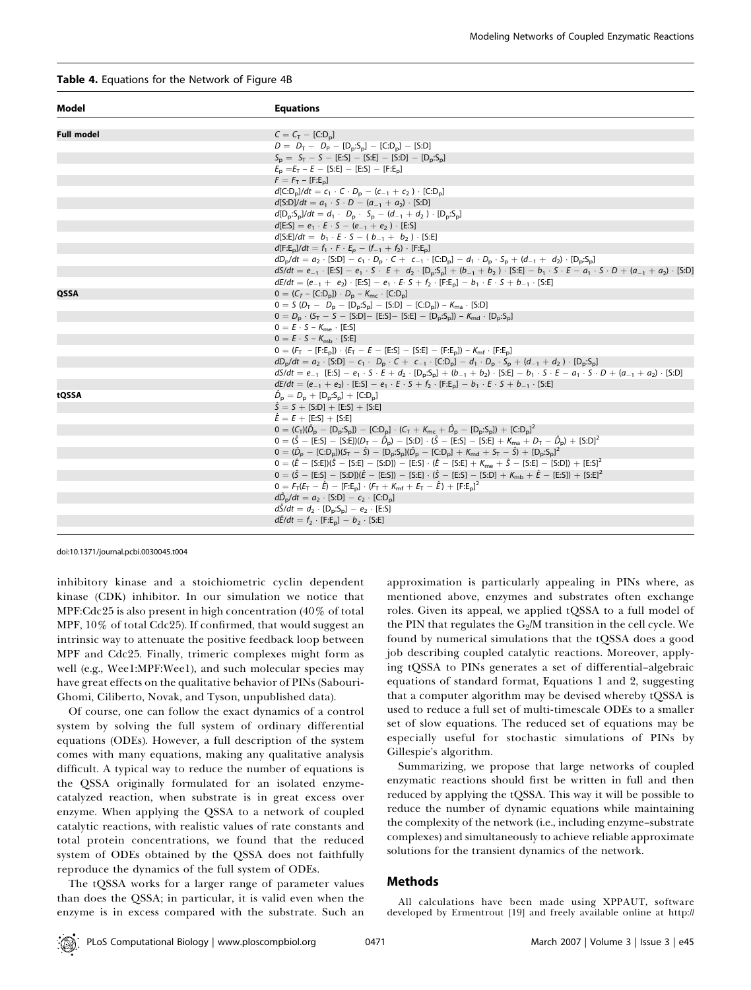#### Table 4. Equations for the Network of Figure 4B

| Model             | <b>Equations</b>                                                                                                                                                                  |
|-------------------|-----------------------------------------------------------------------------------------------------------------------------------------------------------------------------------|
|                   |                                                                                                                                                                                   |
| <b>Full model</b> | $C = C_T - [C:D_n]$                                                                                                                                                               |
|                   | $D = D_T - D_P - [D_p: S_p] - [C:D_p] - [S:D]$                                                                                                                                    |
|                   | $S_n = S_T - S - [E:S] - [S:E] - [S:D] - [D_n:S_n]$                                                                                                                               |
|                   | $E_p = E_T - E - [S:E] - [E:S] - [F:E_p]$                                                                                                                                         |
|                   | $F = F_T - [F:E_n]$                                                                                                                                                               |
|                   | $d[C:D_n]/dt = c_1 \cdot C \cdot D_n - (c_{-1} + c_2) \cdot [C:D_n]$                                                                                                              |
|                   | $d[S:D]/dt = a_1 \cdot S \cdot D - (a_{-1} + a_2) \cdot [S:D]$                                                                                                                    |
|                   | $d[D_p: S_p]/dt = d_1 \cdot D_p \cdot S_p - (d_{-1} + d_2) \cdot [D_p: S_p]$                                                                                                      |
|                   | $d[E:S] = e_1 \cdot E \cdot S - (e_{-1} + e_2) \cdot [E:S]$                                                                                                                       |
|                   | $d[S: E]/dt = b_1 \cdot E \cdot S - (b_{-1} + b_2) \cdot [S: E]$                                                                                                                  |
|                   | $d[F:E_n]/dt = f_1 \cdot F \cdot E_n - (f_{-1} + f_2) \cdot [F:E_n]$                                                                                                              |
|                   | $dD_{p}/dt = a_{2} \cdot [S:D] - c_{1} \cdot D_{p} \cdot C + c_{-1} \cdot [C:D_{p}] - d_{1} \cdot D_{p} \cdot S_{p} + (d_{-1} + d_{2}) \cdot [D_{p} \cdot S_{p}]$                 |
|                   | $dS/dt = e_{-1}$ [E:S] $- e_1 \cdot S \cdot E + d_2 \cdot [D_p: S_p] + (b_{-1} + b_2) \cdot [S_E] - b_1 \cdot S \cdot E - a_1 \cdot S \cdot D + (a_{-1} + a_2) \cdot [S_E]$       |
|                   | $dE/dt = (e_{-1} + e_2) \cdot [E:S] - e_1 \cdot E \cdot S + f_2 \cdot [F:E_n] - b_1 \cdot E \cdot S + b_{-1} \cdot [S:E]$                                                         |
| QSSA              | $0 = (C_T - [C:D_n]) \cdot D_n - K_{mc} \cdot [C:D_n]$                                                                                                                            |
|                   | $0 = S (D_T - D_D - [D_D: S_D] - [S:D] - [C:D_D]) - K_{ma} \cdot [S:D]$                                                                                                           |
|                   | $0 = D_p \cdot (S_T - S - [S:D] - [E:S] - [S:E] - [D_p: S_p]) - K_{md} \cdot [D_p: S_p]$                                                                                          |
|                   | $0 = E \cdot S - K_{me} \cdot [E:S]$                                                                                                                                              |
|                   | $0 = E \cdot S - K_{\rm mb} \cdot [S:E]$                                                                                                                                          |
|                   | $0 = (F_T - [F:E_n]) \cdot (E_T - E - [E.S] - [S:E] - [F:E_n]) - K_{mf} \cdot [F:E_n]$                                                                                            |
|                   | $dD_p/dt = a_2 \cdot [S:D] - c_1 \cdot D_p \cdot C + c_{-1} \cdot [C:D_p] - d_1 \cdot D_p \cdot S_p + (d_{-1} + d_2) \cdot [D_p : S_p]$                                           |
|                   | $dS/dt = e_{-1}$ [E:S] $- e_1 \cdot S \cdot E + d_2 \cdot [D_n: S_n] + (b_{-1} + b_2) \cdot [S_E] - b_1 \cdot S \cdot E - a_1 \cdot S \cdot D + (a_{-1} + a_2) \cdot [S_E]$       |
|                   | $dE/dt = (e_{-1} + e_2) \cdot [E.S] - e_1 \cdot E \cdot S + f_2 \cdot [F:E_n] - b_1 \cdot E \cdot S + b_{-1} \cdot [S:E]$                                                         |
| tQSSA             | $\hat{D}_{\rm p} = D_{\rm p} + [D_{\rm p} S_{\rm p}] + [C D_{\rm p}]$<br>$\hat{S} = S + [S:D] + [E:S] + [S:E]$                                                                    |
|                   | $\hat{E} = E + [E:S] + [S:E]$                                                                                                                                                     |
|                   | $0 = (C_{\rm T})(\hat{D}_{\rm p} - [D_{\rm p}S_{\rm p}]) - [C_{\rm T}D_{\rm p}] \cdot (C_{\rm T} + K_{\rm mc} + \hat{D}_{\rm p} - [D_{\rm p}S_{\rm p}]) + [C_{\rm T}D_{\rm p}]^2$ |
|                   | $0 = (\hat{S} - [E.S] - [S:E])(D_T - \hat{D}_P) - [S:D] \cdot (\hat{S} - [E.S] - [S:E] + K_{ma} + D_T - \hat{D}_P) + [S:D]^2$                                                     |
|                   | $0 = (\hat{D}_p - [C:D_p])(S_T - \hat{S}) - [D_p:S_p](\hat{D}_p - [C:D_p] + K_{md} + S_T - \hat{S}) + [D_p:S_p]^2$                                                                |
|                   | $0 = (\hat{E} - [S:E])(\hat{S} - [S:E] - [S:D]) - [E:S] \cdot (\hat{E} - [S:E] + K_{me} + \hat{S} - [S:E] - [S:D]) + [E:S]^2$                                                     |
|                   | $0 = (\hat{S} - [E:S] - [S:D])(\hat{E} - [E:S]) - [S:E] \cdot (\hat{S} - [E:S] - [S:D] + K_{mb} + \hat{E} - [E:S]) + [S:E]^2$                                                     |
|                   | $0 = F_T(E_T - \hat{E}) - [F.E_n] \cdot (F_T + K_{mf} + E_T - \hat{E}) + [F:E_n]^2$                                                                                               |
|                   | $d\hat{D}_{p}/dt = a_2 \cdot [S:D] - c_2 \cdot [C:D_{p}]$                                                                                                                         |
|                   | $d\hat{S}/dt = d_2 \cdot [D_p: S_p] - e_2 \cdot [E:S]$                                                                                                                            |
|                   | $d\ddot{E}/dt = f_2 \cdot [F:E_n] - b_2 \cdot [S:E]$                                                                                                                              |
|                   |                                                                                                                                                                                   |

doi:10.1371/journal.pcbi.0030045.t004

inhibitory kinase and a stoichiometric cyclin dependent kinase (CDK) inhibitor. In our simulation we notice that MPF:Cdc25 is also present in high concentration (40% of total MPF, 10% of total Cdc25). If confirmed, that would suggest an intrinsic way to attenuate the positive feedback loop between MPF and Cdc25. Finally, trimeric complexes might form as well (e.g., Wee1:MPF:Wee1), and such molecular species may have great effects on the qualitative behavior of PINs (Sabouri-Ghomi, Ciliberto, Novak, and Tyson, unpublished data).

Of course, one can follow the exact dynamics of a control system by solving the full system of ordinary differential equations (ODEs). However, a full description of the system comes with many equations, making any qualitative analysis difficult. A typical way to reduce the number of equations is the QSSA originally formulated for an isolated enzymecatalyzed reaction, when substrate is in great excess over enzyme. When applying the QSSA to a network of coupled catalytic reactions, with realistic values of rate constants and total protein concentrations, we found that the reduced system of ODEs obtained by the QSSA does not faithfully reproduce the dynamics of the full system of ODEs.

The tQSSA works for a larger range of parameter values than does the QSSA; in particular, it is valid even when the enzyme is in excess compared with the substrate. Such an

approximation is particularly appealing in PINs where, as mentioned above, enzymes and substrates often exchange roles. Given its appeal, we applied tQSSA to a full model of the PIN that regulates the  $G_2/M$  transition in the cell cycle. We found by numerical simulations that the tQSSA does a good job describing coupled catalytic reactions. Moreover, applying tQSSA to PINs generates a set of differential–algebraic equations of standard format, Equations 1 and 2, suggesting that a computer algorithm may be devised whereby tQSSA is used to reduce a full set of multi-timescale ODEs to a smaller set of slow equations. The reduced set of equations may be especially useful for stochastic simulations of PINs by Gillespie's algorithm.

Summarizing, we propose that large networks of coupled enzymatic reactions should first be written in full and then reduced by applying the tQSSA. This way it will be possible to reduce the number of dynamic equations while maintaining the complexity of the network (i.e., including enzyme–substrate complexes) and simultaneously to achieve reliable approximate solutions for the transient dynamics of the network.

# Methods

All calculations have been made using XPPAUT, software developed by Ermentrout [19] and freely available online at http://